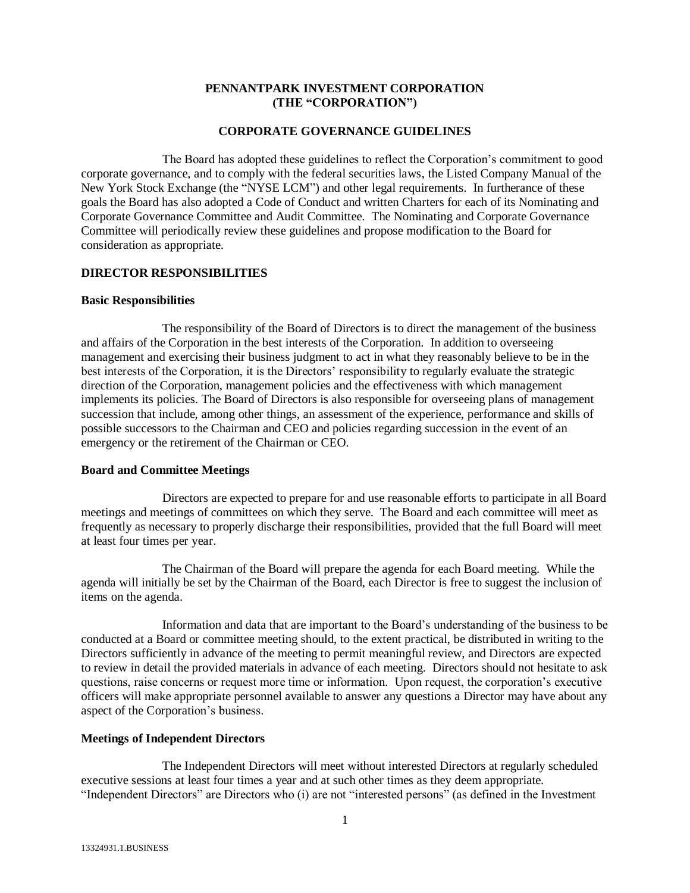## **PENNANTPARK INVESTMENT CORPORATION (THE "CORPORATION")**

#### **CORPORATE GOVERNANCE GUIDELINES**

The Board has adopted these guidelines to reflect the Corporation's commitment to good corporate governance, and to comply with the federal securities laws, the Listed Company Manual of the New York Stock Exchange (the "NYSE LCM") and other legal requirements. In furtherance of these goals the Board has also adopted a Code of Conduct and written Charters for each of its Nominating and Corporate Governance Committee and Audit Committee. The Nominating and Corporate Governance Committee will periodically review these guidelines and propose modification to the Board for consideration as appropriate.

## **DIRECTOR RESPONSIBILITIES**

#### **Basic Responsibilities**

The responsibility of the Board of Directors is to direct the management of the business and affairs of the Corporation in the best interests of the Corporation. In addition to overseeing management and exercising their business judgment to act in what they reasonably believe to be in the best interests of the Corporation, it is the Directors' responsibility to regularly evaluate the strategic direction of the Corporation, management policies and the effectiveness with which management implements its policies. The Board of Directors is also responsible for overseeing plans of management succession that include, among other things, an assessment of the experience, performance and skills of possible successors to the Chairman and CEO and policies regarding succession in the event of an emergency or the retirement of the Chairman or CEO.

#### **Board and Committee Meetings**

Directors are expected to prepare for and use reasonable efforts to participate in all Board meetings and meetings of committees on which they serve. The Board and each committee will meet as frequently as necessary to properly discharge their responsibilities, provided that the full Board will meet at least four times per year.

The Chairman of the Board will prepare the agenda for each Board meeting. While the agenda will initially be set by the Chairman of the Board, each Director is free to suggest the inclusion of items on the agenda.

Information and data that are important to the Board's understanding of the business to be conducted at a Board or committee meeting should, to the extent practical, be distributed in writing to the Directors sufficiently in advance of the meeting to permit meaningful review, and Directors are expected to review in detail the provided materials in advance of each meeting. Directors should not hesitate to ask questions, raise concerns or request more time or information. Upon request, the corporation's executive officers will make appropriate personnel available to answer any questions a Director may have about any aspect of the Corporation's business.

#### **Meetings of Independent Directors**

The Independent Directors will meet without interested Directors at regularly scheduled executive sessions at least four times a year and at such other times as they deem appropriate. "Independent Directors" are Directors who (i) are not "interested persons" (as defined in the Investment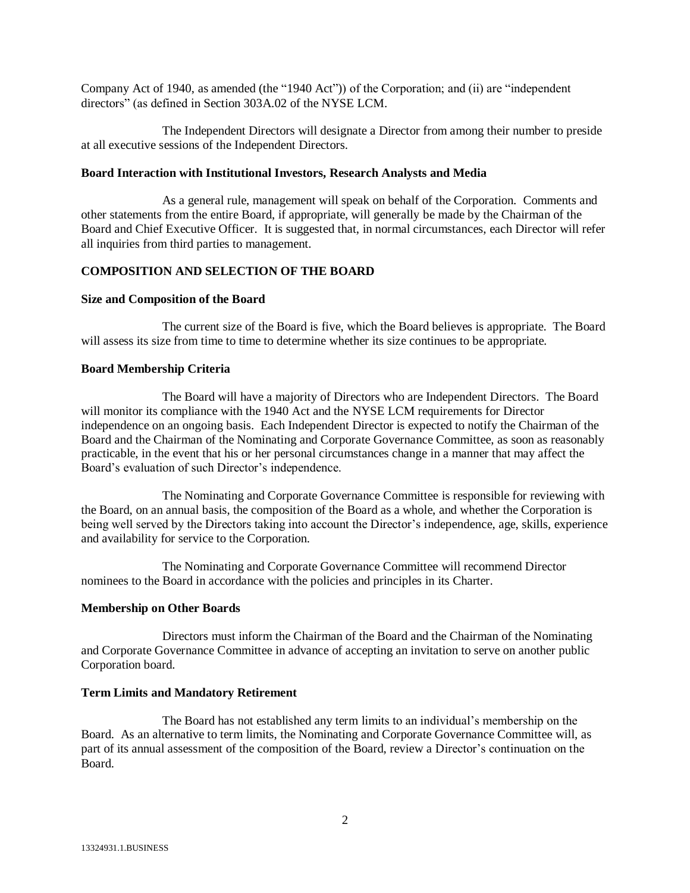Company Act of 1940, as amended (the "1940 Act")) of the Corporation; and (ii) are "independent directors" (as defined in Section 303A.02 of the NYSE LCM.

The Independent Directors will designate a Director from among their number to preside at all executive sessions of the Independent Directors.

### **Board Interaction with Institutional Investors, Research Analysts and Media**

As a general rule, management will speak on behalf of the Corporation. Comments and other statements from the entire Board, if appropriate, will generally be made by the Chairman of the Board and Chief Executive Officer. It is suggested that, in normal circumstances, each Director will refer all inquiries from third parties to management.

# **COMPOSITION AND SELECTION OF THE BOARD**

## **Size and Composition of the Board**

The current size of the Board is five, which the Board believes is appropriate. The Board will assess its size from time to time to determine whether its size continues to be appropriate.

## **Board Membership Criteria**

The Board will have a majority of Directors who are Independent Directors. The Board will monitor its compliance with the 1940 Act and the NYSE LCM requirements for Director independence on an ongoing basis. Each Independent Director is expected to notify the Chairman of the Board and the Chairman of the Nominating and Corporate Governance Committee, as soon as reasonably practicable, in the event that his or her personal circumstances change in a manner that may affect the Board's evaluation of such Director's independence.

The Nominating and Corporate Governance Committee is responsible for reviewing with the Board, on an annual basis, the composition of the Board as a whole, and whether the Corporation is being well served by the Directors taking into account the Director's independence, age, skills, experience and availability for service to the Corporation.

The Nominating and Corporate Governance Committee will recommend Director nominees to the Board in accordance with the policies and principles in its Charter.

### **Membership on Other Boards**

Directors must inform the Chairman of the Board and the Chairman of the Nominating and Corporate Governance Committee in advance of accepting an invitation to serve on another public Corporation board.

## **Term Limits and Mandatory Retirement**

The Board has not established any term limits to an individual's membership on the Board. As an alternative to term limits, the Nominating and Corporate Governance Committee will, as part of its annual assessment of the composition of the Board, review a Director's continuation on the Board.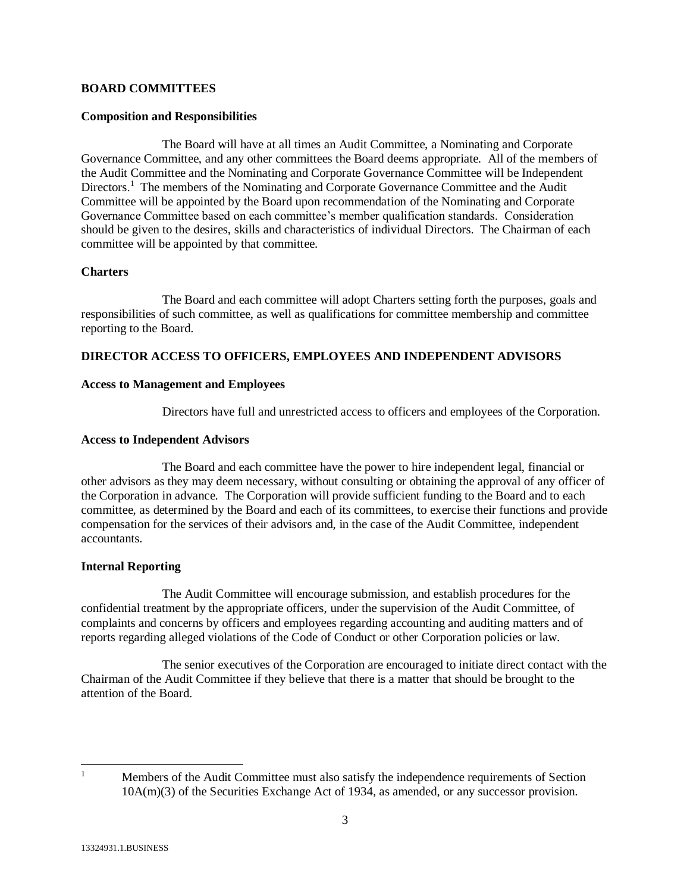## **BOARD COMMITTEES**

## **Composition and Responsibilities**

The Board will have at all times an Audit Committee, a Nominating and Corporate Governance Committee, and any other committees the Board deems appropriate. All of the members of the Audit Committee and the Nominating and Corporate Governance Committee will be Independent Directors.<sup>1</sup> The members of the Nominating and Corporate Governance Committee and the Audit Committee will be appointed by the Board upon recommendation of the Nominating and Corporate Governance Committee based on each committee's member qualification standards. Consideration should be given to the desires, skills and characteristics of individual Directors. The Chairman of each committee will be appointed by that committee.

#### **Charters**

The Board and each committee will adopt Charters setting forth the purposes, goals and responsibilities of such committee, as well as qualifications for committee membership and committee reporting to the Board.

## **DIRECTOR ACCESS TO OFFICERS, EMPLOYEES AND INDEPENDENT ADVISORS**

#### **Access to Management and Employees**

Directors have full and unrestricted access to officers and employees of the Corporation.

## **Access to Independent Advisors**

The Board and each committee have the power to hire independent legal, financial or other advisors as they may deem necessary, without consulting or obtaining the approval of any officer of the Corporation in advance. The Corporation will provide sufficient funding to the Board and to each committee, as determined by the Board and each of its committees, to exercise their functions and provide compensation for the services of their advisors and, in the case of the Audit Committee, independent accountants.

### **Internal Reporting**

The Audit Committee will encourage submission, and establish procedures for the confidential treatment by the appropriate officers, under the supervision of the Audit Committee, of complaints and concerns by officers and employees regarding accounting and auditing matters and of reports regarding alleged violations of the Code of Conduct or other Corporation policies or law.

The senior executives of the Corporation are encouraged to initiate direct contact with the Chairman of the Audit Committee if they believe that there is a matter that should be brought to the attention of the Board.

 $\mathbf{1}$ 

<sup>1</sup> Members of the Audit Committee must also satisfy the independence requirements of Section 10A(m)(3) of the Securities Exchange Act of 1934, as amended, or any successor provision.